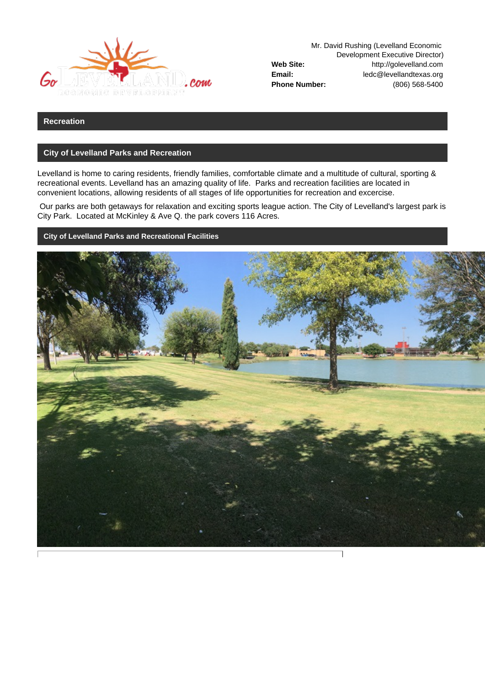

Mr. David Rushing (Levelland Economic Development Executive Director) **Web Site:** http://golevelland.com **Email:** ledc@levellandtexas.org **Phone Number:** (806) 568-5400

## **Recreation**

## **City of Levelland Parks and Recreation**

Levelland is home to caring residents, friendly families, comfortable climate and a multitude of cultural, sporting & recreational events. Levelland has an amazing quality of life. Parks and recreation facilities are located in convenient locations, allowing residents of all stages of life opportunities for recreation and excercise.

 Our parks are both getaways for relaxation and exciting sports league action. The City of Levelland's largest park is City Park. Located at McKinley & Ave Q. the park covers 116 Acres.

**City of Levelland Parks and Recreational Facilities**